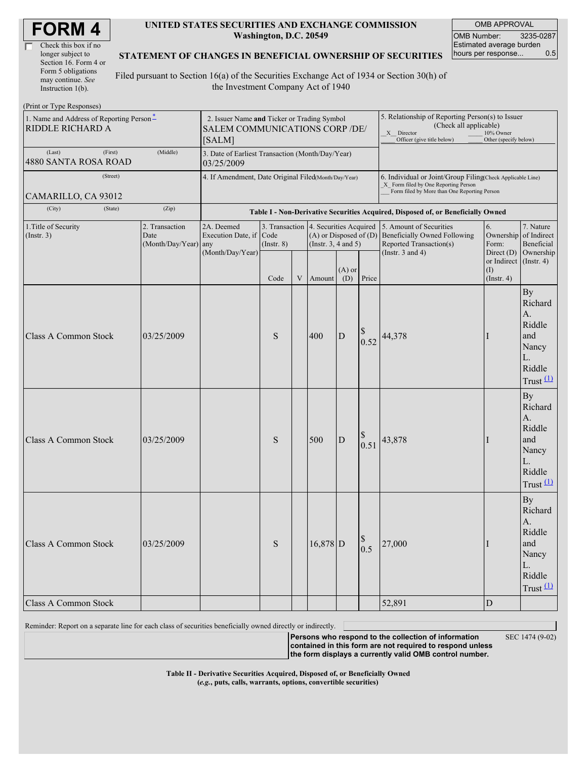| <b>FORM4</b> |
|--------------|
|--------------|

| Check this box if no  |
|-----------------------|
| longer subject to     |
| Section 16. Form 4 or |
| Form 5 obligations    |
| may continue. See     |
| Instruction 1(b).     |

 $(D_{\text{rint}} \text{ or } \text{T} \text{ and } \text{Do}$ 

#### **UNITED STATES SECURITIES AND EXCHANGE COMMISSION Washington, D.C. 20549**

OMB APPROVAL OMB Number: 3235-0287 Estimated average burden hours per response... 0.5

#### **STATEMENT OF CHANGES IN BENEFICIAL OWNERSHIP OF SECURITIES**

Filed pursuant to Section 16(a) of the Securities Exchange Act of 1934 or Section 30(h) of the Investment Company Act of 1940

| $(1 \text{ nm or } 1 \text{ ypc } \text{revsponsvs})$        |                                                                |                                                                                         |                                   |   |                                                                                  |                                                                                  |                                                                                                                                                              |                                                                                                                    |                                                              |                                                                                     |
|--------------------------------------------------------------|----------------------------------------------------------------|-----------------------------------------------------------------------------------------|-----------------------------------|---|----------------------------------------------------------------------------------|----------------------------------------------------------------------------------|--------------------------------------------------------------------------------------------------------------------------------------------------------------|--------------------------------------------------------------------------------------------------------------------|--------------------------------------------------------------|-------------------------------------------------------------------------------------|
| 1. Name and Address of Reporting Person*<br>RIDDLE RICHARD A |                                                                | 2. Issuer Name and Ticker or Trading Symbol<br>SALEM COMMUNICATIONS CORP /DE/<br>[SALM] |                                   |   |                                                                                  |                                                                                  | 5. Relationship of Reporting Person(s) to Issuer<br>(Check all applicable)<br>X Director<br>10% Owner<br>Officer (give title below)<br>Other (specify below) |                                                                                                                    |                                                              |                                                                                     |
| (First)<br>(Last)<br>4880 SANTA ROSA ROAD                    | 3. Date of Earliest Transaction (Month/Day/Year)<br>03/25/2009 |                                                                                         |                                   |   |                                                                                  |                                                                                  |                                                                                                                                                              |                                                                                                                    |                                                              |                                                                                     |
| (Street)<br>CAMARILLO, CA 93012                              |                                                                | 4. If Amendment, Date Original Filed(Month/Day/Year)                                    |                                   |   |                                                                                  |                                                                                  | 6. Individual or Joint/Group Filing(Check Applicable Line)<br>X Form filed by One Reporting Person<br>Form filed by More than One Reporting Person           |                                                                                                                    |                                                              |                                                                                     |
| (City)<br>(State)                                            |                                                                |                                                                                         |                                   |   |                                                                                  | Table I - Non-Derivative Securities Acquired, Disposed of, or Beneficially Owned |                                                                                                                                                              |                                                                                                                    |                                                              |                                                                                     |
| 1. Title of Security<br>(Insert. 3)                          | 2. Transaction<br>Date<br>(Month/Day/Year) any                 | 2A. Deemed<br>Execution Date, if Code<br>(Month/Day/Year)                               | 3. Transaction<br>$($ Instr. $8)$ |   | 4. Securities Acquired<br>$(A)$ or Disposed of $(D)$<br>(Instr. $3, 4$ and $5$ ) |                                                                                  |                                                                                                                                                              | 5. Amount of Securities<br><b>Beneficially Owned Following</b><br>Reported Transaction(s)<br>(Instr. $3$ and $4$ ) | 6.<br>Ownership<br>Form:<br>Direct (D)                       | 7. Nature<br>of Indirect<br>Beneficial<br>Ownership                                 |
|                                                              |                                                                |                                                                                         | Code                              | V | Amount                                                                           | $(A)$ or<br>(D)                                                                  | Price                                                                                                                                                        |                                                                                                                    | or Indirect $($ Instr. 4 $)$<br>$\rm(I)$<br>$($ Instr. 4 $)$ |                                                                                     |
| <b>Class A Common Stock</b>                                  | 03/25/2009                                                     |                                                                                         | S                                 |   | 400                                                                              | D                                                                                | 0.52                                                                                                                                                         | 44,378                                                                                                             | 1                                                            | <b>By</b><br>Richard<br>A.<br>Riddle<br>and<br>Nancy<br>L.<br>Riddle<br>Trust $(1)$ |
| <b>Class A Common Stock</b>                                  | 03/25/2009                                                     |                                                                                         | S                                 |   | 500                                                                              | $\mathbf D$                                                                      | 0.51                                                                                                                                                         | 43,878                                                                                                             | Ι                                                            | <b>By</b><br>Richard<br>A.<br>Riddle<br>and<br>Nancy<br>L.<br>Riddle<br>Trust $(1)$ |
| Class A Common Stock                                         | 03/25/2009                                                     |                                                                                         | $\mathbf S$                       |   | $16,878$ D                                                                       |                                                                                  | $\mathbb S$<br>0.5                                                                                                                                           | 27,000                                                                                                             | $\mathbf I$                                                  | <b>By</b><br>Richard<br>A.<br>Riddle<br>and<br>Nancy<br>L.<br>Riddle<br>Trust $(1)$ |
| Class A Common Stock                                         |                                                                |                                                                                         |                                   |   |                                                                                  |                                                                                  |                                                                                                                                                              | 52,891                                                                                                             | ${\rm D}$                                                    |                                                                                     |

Reminder: Report on a separate line for each class of securities beneficially owned directly or indirectly.

**Persons who respond to the collection of information contained in this form are not required to respond unless the form displays a currently valid OMB control number.**

SEC 1474 (9-02)

**Table II - Derivative Securities Acquired, Disposed of, or Beneficially Owned (***e.g.***, puts, calls, warrants, options, convertible securities)**